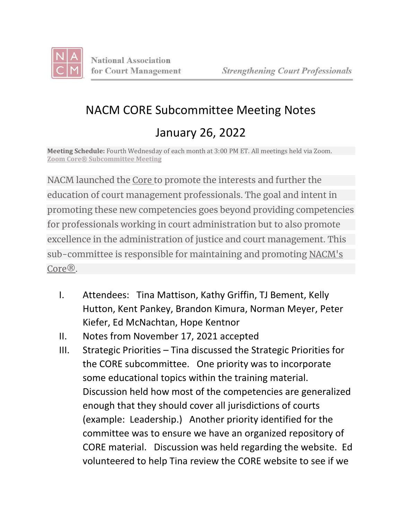

## NACM CORE Subcommittee Meeting Notes January 26, 2022

**Meeting Schedule:** Fourth Wednesday of each month at 3:00 PM ET. All meetings held via Zoom. **Zoom Core® [Subcommittee](https://zoom.us/j/95800030771?pwd=bXRIQnh5RlA1Q1FFS0YvTjhDN1FEZz09) Meeting**

NACM launched the [Core](https://nacmcore.org/) to promote the interests and further the education of court management professionals. The goal and intent in promoting these new competencies goes beyond providing competencies for professionals working in court administration but to also promote excellence in the administration of justice and court management. This sub-committee is responsible for maintaining and promoting [NACM's](https://nacmcore.org/) [Core®.](https://nacmcore.org/)

- I. Attendees: Tina Mattison, Kathy Griffin, TJ Bement, Kelly Hutton, Kent Pankey, Brandon Kimura, Norman Meyer, Peter Kiefer, Ed McNachtan, Hope Kentnor
- II. Notes from November 17, 2021 accepted
- III. Strategic Priorities Tina discussed the Strategic Priorities for the CORE subcommittee. One priority was to incorporate some educational topics within the training material. Discussion held how most of the competencies are generalized enough that they should cover all jurisdictions of courts (example: Leadership.) Another priority identified for the committee was to ensure we have an organized repository of CORE material. Discussion was held regarding the website. Ed volunteered to help Tina review the CORE website to see if we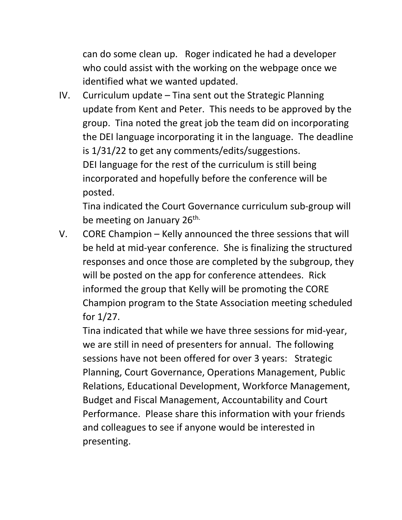can do some clean up. Roger indicated he had a developer who could assist with the working on the webpage once we identified what we wanted updated.

IV. Curriculum update – Tina sent out the Strategic Planning update from Kent and Peter. This needs to be approved by the group. Tina noted the great job the team did on incorporating the DEI language incorporating it in the language. The deadline is 1/31/22 to get any comments/edits/suggestions. DEI language for the rest of the curriculum is still being incorporated and hopefully before the conference will be posted.

Tina indicated the Court Governance curriculum sub-group will be meeting on January 26<sup>th.</sup>

V. CORE Champion – Kelly announced the three sessions that will be held at mid-year conference. She is finalizing the structured responses and once those are completed by the subgroup, they will be posted on the app for conference attendees. Rick informed the group that Kelly will be promoting the CORE Champion program to the State Association meeting scheduled for 1/27.

Tina indicated that while we have three sessions for mid-year, we are still in need of presenters for annual. The following sessions have not been offered for over 3 years: Strategic Planning, Court Governance, Operations Management, Public Relations, Educational Development, Workforce Management, Budget and Fiscal Management, Accountability and Court Performance. Please share this information with your friends and colleagues to see if anyone would be interested in presenting.